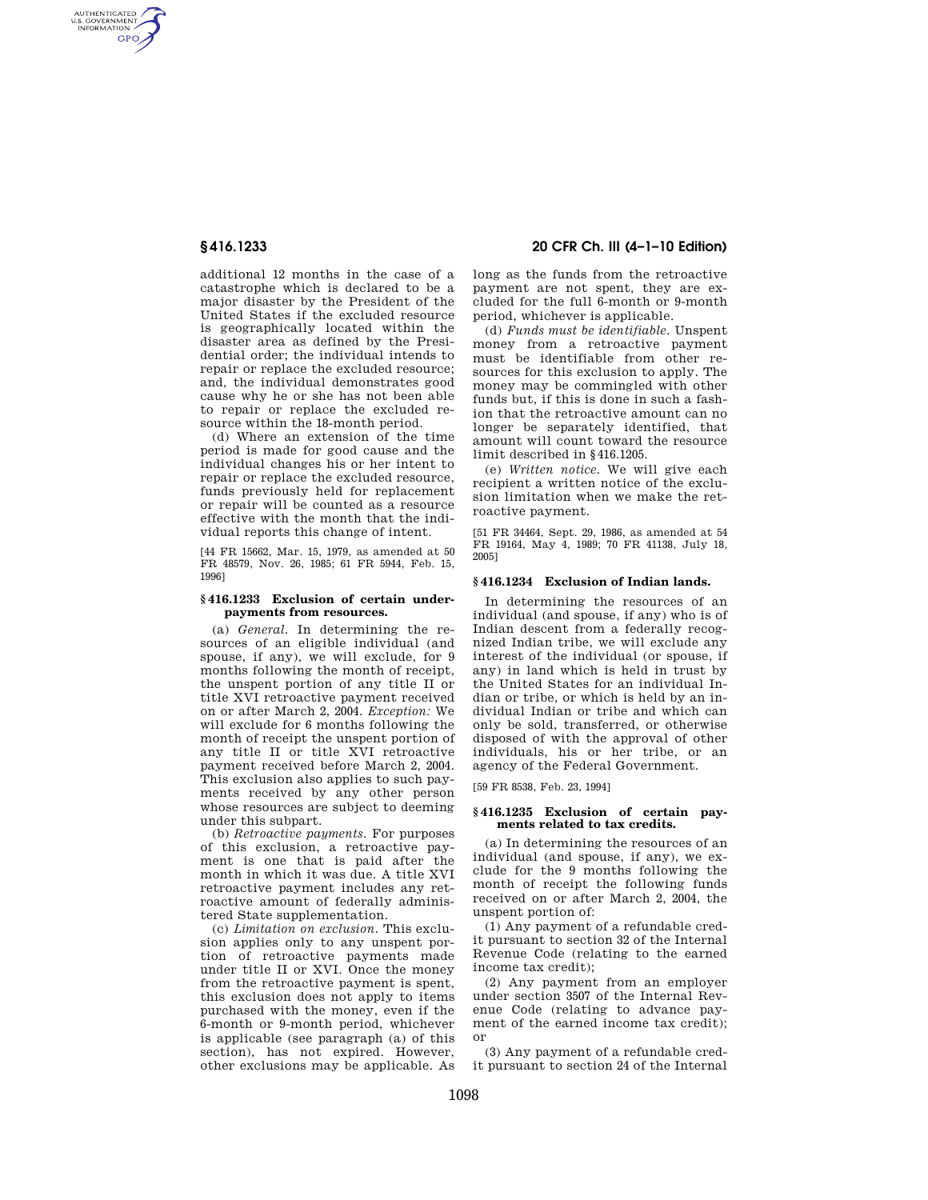AUTHENTICATED<br>U.S. GOVERNMENT<br>INFORMATION GPO

> additional 12 months in the case of a catastrophe which is declared to be a major disaster by the President of the United States if the excluded resource is geographically located within the disaster area as defined by the Presidential order; the individual intends to repair or replace the excluded resource; and, the individual demonstrates good cause why he or she has not been able to repair or replace the excluded resource within the 18-month period.

> (d) Where an extension of the time period is made for good cause and the individual changes his or her intent to repair or replace the excluded resource, funds previously held for replacement or repair will be counted as a resource effective with the month that the individual reports this change of intent.

> [44 FR 15662, Mar. 15, 1979, as amended at 50 FR 48579, Nov. 26, 1985; 61 FR 5944, Feb. 15, 1996]

#### **§ 416.1233 Exclusion of certain underpayments from resources.**

(a) *General.* In determining the resources of an eligible individual (and spouse, if any), we will exclude, for 9 months following the month of receipt, the unspent portion of any title II or title XVI retroactive payment received on or after March 2, 2004. *Exception:* We will exclude for 6 months following the month of receipt the unspent portion of any title II or title XVI retroactive payment received before March 2, 2004. This exclusion also applies to such payments received by any other person whose resources are subject to deeming under this subpart.

(b) *Retroactive payments.* For purposes of this exclusion, a retroactive payment is one that is paid after the month in which it was due. A title XVI retroactive payment includes any retroactive amount of federally administered State supplementation.

(c) *Limitation on exclusion.* This exclusion applies only to any unspent portion of retroactive payments made under title II or XVI. Once the money from the retroactive payment is spent, this exclusion does not apply to items purchased with the money, even if the 6-month or 9-month period, whichever is applicable (see paragraph (a) of this section), has not expired. However, other exclusions may be applicable. As

# **§ 416.1233 20 CFR Ch. III (4–1–10 Edition)**

long as the funds from the retroactive payment are not spent, they are excluded for the full 6-month or 9-month period, whichever is applicable.

(d) *Funds must be identifiable.* Unspent money from a retroactive payment must be identifiable from other resources for this exclusion to apply. The money may be commingled with other funds but, if this is done in such a fashion that the retroactive amount can no longer be separately identified, that amount will count toward the resource limit described in §416.1205.

(e) *Written notice.* We will give each recipient a written notice of the exclusion limitation when we make the retroactive payment.

[51 FR 34464, Sept. 29, 1986, as amended at 54 FR 19164, May 4, 1989; 70 FR 41138, July 18, 2005]

### **§ 416.1234 Exclusion of Indian lands.**

In determining the resources of an individual (and spouse, if any) who is of Indian descent from a federally recognized Indian tribe, we will exclude any interest of the individual (or spouse, if any) in land which is held in trust by the United States for an individual Indian or tribe, or which is held by an individual Indian or tribe and which can only be sold, transferred, or otherwise disposed of with the approval of other individuals, his or her tribe, or an agency of the Federal Government.

[59 FR 8538, Feb. 23, 1994]

### **§ 416.1235 Exclusion of certain payments related to tax credits.**

(a) In determining the resources of an individual (and spouse, if any), we exclude for the 9 months following the month of receipt the following funds received on or after March 2, 2004, the unspent portion of:

(1) Any payment of a refundable credit pursuant to section 32 of the Internal Revenue Code (relating to the earned income tax credit);

(2) Any payment from an employer under section 3507 of the Internal Revenue Code (relating to advance payment of the earned income tax credit); or

(3) Any payment of a refundable credit pursuant to section 24 of the Internal